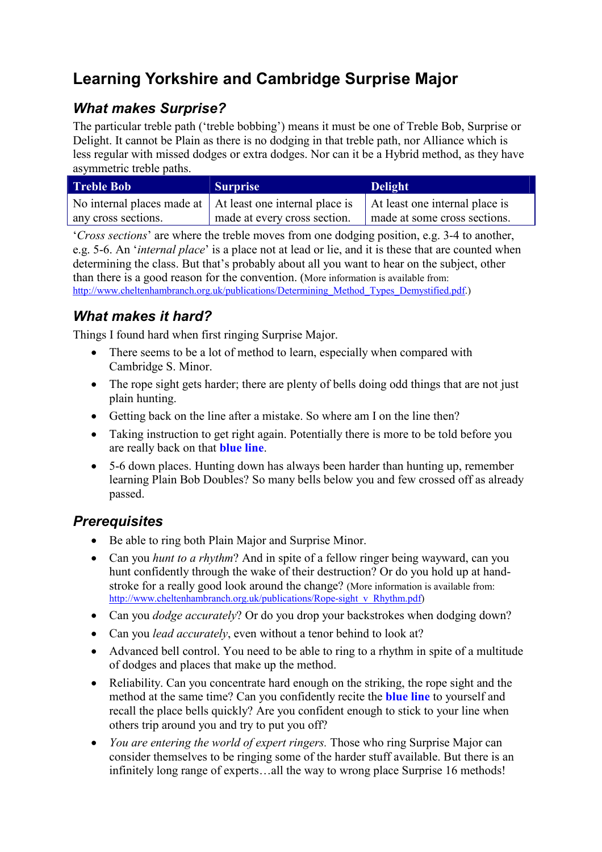# Learning Yorkshire and Cambridge Surprise Major

### What makes Surprise?

The particular treble path ('treble bobbing') means it must be one of Treble Bob, Surprise or Delight. It cannot be Plain as there is no dodging in that treble path, nor Alliance which is less regular with missed dodges or extra dodges. Nor can it be a Hybrid method, as they have asymmetric treble paths.

| <b>Treble Bob</b>   | <b>Surprise</b>                                                                                          | Delight                      |
|---------------------|----------------------------------------------------------------------------------------------------------|------------------------------|
|                     | No internal places made at $\vert$ At least one internal place is $\vert$ At least one internal place is |                              |
| any cross sections. | made at every cross section.                                                                             | made at some cross sections. |

'Cross sections' are where the treble moves from one dodging position, e.g. 3-4 to another, e.g. 5-6. An 'internal place' is a place not at lead or lie, and it is these that are counted when determining the class. But that's probably about all you want to hear on the subject, other than there is a good reason for the convention. (More information is available from: http://www.cheltenhambranch.org.uk/publications/Determining\_Method\_Types\_Demystified.pdf.)

### What makes it hard?

Things I found hard when first ringing Surprise Major.

- There seems to be a lot of method to learn, especially when compared with Cambridge S. Minor.
- The rope sight gets harder; there are plenty of bells doing odd things that are not just plain hunting.
- Getting back on the line after a mistake. So where am I on the line then?
- Taking instruction to get right again. Potentially there is more to be told before you are really back on that blue line.
- 5-6 down places. Hunting down has always been harder than hunting up, remember learning Plain Bob Doubles? So many bells below you and few crossed off as already passed.

### **Prerequisites**

- Be able to ring both Plain Major and Surprise Minor.
- Can you *hunt to a rhythm*? And in spite of a fellow ringer being wayward, can you hunt confidently through the wake of their destruction? Or do you hold up at handstroke for a really good look around the change? (More information is available from: http://www.cheltenhambranch.org.uk/publications/Rope-sight\_v\_Rhythm.pdf)
- Can you *dodge accurately*? Or do you drop your backstrokes when dodging down?
- Can you *lead accurately*, even without a tenor behind to look at?
- Advanced bell control. You need to be able to ring to a rhythm in spite of a multitude of dodges and places that make up the method.
- Reliability. Can you concentrate hard enough on the striking, the rope sight and the method at the same time? Can you confidently recite the **blue line** to yourself and recall the place bells quickly? Are you confident enough to stick to your line when others trip around you and try to put you off?
- You are entering the world of expert ringers. Those who ring Surprise Major can consider themselves to be ringing some of the harder stuff available. But there is an infinitely long range of experts…all the way to wrong place Surprise 16 methods!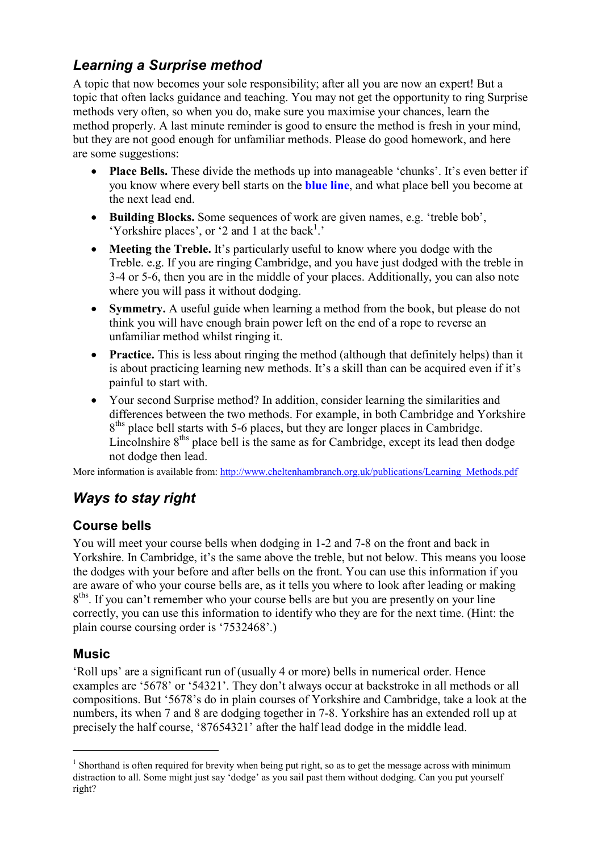### Learning a Surprise method

A topic that now becomes your sole responsibility; after all you are now an expert! But a topic that often lacks guidance and teaching. You may not get the opportunity to ring Surprise methods very often, so when you do, make sure you maximise your chances, learn the method properly. A last minute reminder is good to ensure the method is fresh in your mind, but they are not good enough for unfamiliar methods. Please do good homework, and here are some suggestions:

- Place Bells. These divide the methods up into manageable 'chunks'. It's even better if you know where every bell starts on the blue line, and what place bell you become at the next lead end.
- Building Blocks. Some sequences of work are given names, e.g. 'treble bob', 'Yorkshire places', or '2 and 1 at the back $<sup>1</sup>$ .'</sup>
- Meeting the Treble. It's particularly useful to know where you dodge with the Treble. e.g. If you are ringing Cambridge, and you have just dodged with the treble in 3-4 or 5-6, then you are in the middle of your places. Additionally, you can also note where you will pass it without dodging.
- Symmetry. A useful guide when learning a method from the book, but please do not think you will have enough brain power left on the end of a rope to reverse an unfamiliar method whilst ringing it.
- Practice. This is less about ringing the method (although that definitely helps) than it is about practicing learning new methods. It's a skill than can be acquired even if it's painful to start with.
- Your second Surprise method? In addition, consider learning the similarities and differences between the two methods. For example, in both Cambridge and Yorkshire 8<sup>ths</sup> place bell starts with 5-6 places, but they are longer places in Cambridge. Lincolnshire  $8<sup>ths</sup>$  place bell is the same as for Cambridge, except its lead then dodge not dodge then lead.

More information is available from: http://www.cheltenhambranch.org.uk/publications/Learning\_Methods.pdf

## Ways to stay right

#### Course bells

You will meet your course bells when dodging in 1-2 and 7-8 on the front and back in Yorkshire. In Cambridge, it's the same above the treble, but not below. This means you loose the dodges with your before and after bells on the front. You can use this information if you are aware of who your course bells are, as it tells you where to look after leading or making 8<sup>ths</sup>. If you can't remember who your course bells are but you are presently on your line correctly, you can use this information to identify who they are for the next time. (Hint: the plain course coursing order is '7532468'.)

#### Music

 $\overline{a}$ 

'Roll ups' are a significant run of (usually 4 or more) bells in numerical order. Hence examples are '5678' or '54321'. They don't always occur at backstroke in all methods or all compositions. But '5678's do in plain courses of Yorkshire and Cambridge, take a look at the numbers, its when 7 and 8 are dodging together in 7-8. Yorkshire has an extended roll up at precisely the half course, '87654321' after the half lead dodge in the middle lead.

<sup>&</sup>lt;sup>1</sup> Shorthand is often required for brevity when being put right, so as to get the message across with minimum distraction to all. Some might just say 'dodge' as you sail past them without dodging. Can you put yourself right?